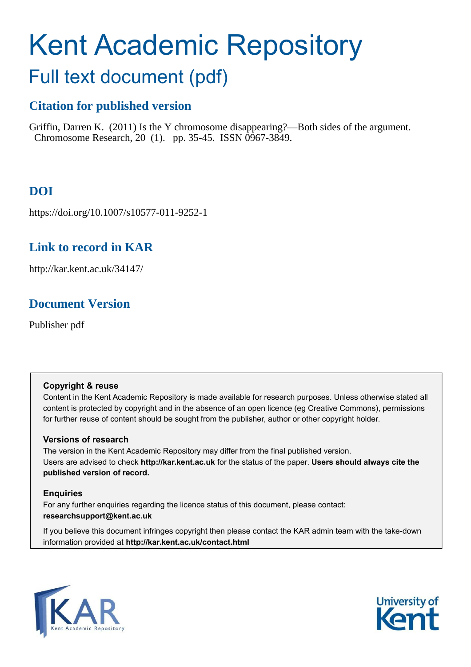# Kent Academic Repository

## Full text document (pdf)

## **Citation for published version**

Griffin, Darren K. (2011) Is the Y chromosome disappearing?—Both sides of the argument. Chromosome Research, 20 (1). pp. 35-45. ISSN 0967-3849.

## **DOI**

https://doi.org/10.1007/s10577-011-9252-1

## **Link to record in KAR**

http://kar.kent.ac.uk/34147/

## **Document Version**

Publisher pdf

## **Copyright & reuse**

Content in the Kent Academic Repository is made available for research purposes. Unless otherwise stated all content is protected by copyright and in the absence of an open licence (eg Creative Commons), permissions for further reuse of content should be sought from the publisher, author or other copyright holder.

## **Versions of research**

The version in the Kent Academic Repository may differ from the final published version. Users are advised to check **http://kar.kent.ac.uk** for the status of the paper. **Users should always cite the published version of record.**

## **Enquiries**

For any further enquiries regarding the licence status of this document, please contact: **researchsupport@kent.ac.uk**

If you believe this document infringes copyright then please contact the KAR admin team with the take-down information provided at **http://kar.kent.ac.uk/contact.html**



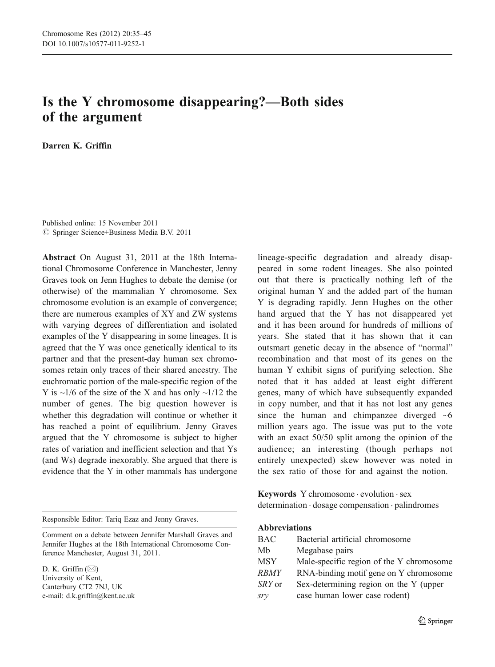## Is the Y chromosome disappearing?—Both sides of the argument

Darren K. Griffin

Published online: 15 November 2011  $\circledcirc$  Springer Science+Business Media B.V. 2011

Abstract On August 31, 2011 at the 18th International Chromosome Conference in Manchester, Jenny Graves took on Jenn Hughes to debate the demise (or otherwise) of the mammalian Y chromosome. Sex chromosome evolution is an example of convergence; there are numerous examples of XY and ZW systems with varying degrees of differentiation and isolated examples of the Y disappearing in some lineages. It is agreed that the Y was once genetically identical to its partner and that the present-day human sex chromosomes retain only traces of their shared ancestry. The euchromatic portion of the male-specific region of the Y is  $\sim$ 1/6 of the size of the X and has only  $\sim$ 1/12 the number of genes. The big question however is whether this degradation will continue or whether it has reached a point of equilibrium. Jenny Graves argued that the Y chromosome is subject to higher rates of variation and inefficient selection and that Ys (and Ws) degrade inexorably. She argued that there is evidence that the Y in other mammals has undergone

Responsible Editor: Tariq Ezaz and Jenny Graves.

Comment on a debate between Jennifer Marshall Graves and Jennifer Hughes at the 18th International Chromosome Conference Manchester, August 31, 2011.

D. K. Griffin  $(\boxtimes)$ University of Kent, Canterbury CT2 7NJ, UK e-mail: d.k.griffin@kent.ac.uk lineage-specific degradation and already disappeared in some rodent lineages. She also pointed out that there is practically nothing left of the original human Y and the added part of the human Y is degrading rapidly. Jenn Hughes on the other hand argued that the Y has not disappeared yet and it has been around for hundreds of millions of years. She stated that it has shown that it can outsmart genetic decay in the absence of "normal" recombination and that most of its genes on the human Y exhibit signs of purifying selection. She noted that it has added at least eight different genes, many of which have subsequently expanded in copy number, and that it has not lost any genes since the human and chimpanzee diverged  $~\sim 6$ million years ago. The issue was put to the vote with an exact 50/50 split among the opinion of the audience; an interesting (though perhaps not entirely unexpected) skew however was noted in the sex ratio of those for and against the notion.

Keywords Y chromosome · evolution · sex determination . dosage compensation . palindromes

#### Abbreviations

| <b>BAC</b>    | Bacterial artificial chromosome          |
|---------------|------------------------------------------|
| Mb            | Megabase pairs                           |
| <b>MSY</b>    | Male-specific region of the Y chromosome |
| <b>RBMY</b>   | RNA-binding motif gene on Y chromosome   |
| <i>SRY</i> or | Sex-determining region on the Y (upper   |
| $S\Gamma V$   | case human lower case rodent)            |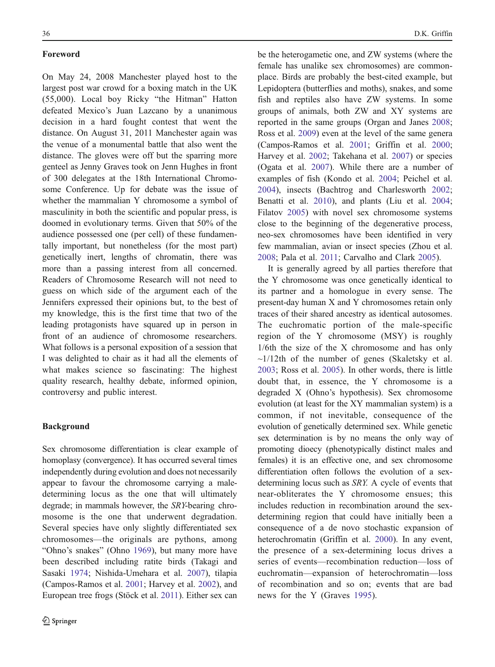#### Foreword

On May 24, 2008 Manchester played host to the largest post war crowd for a boxing match in the UK (55,000). Local boy Ricky "the Hitman" Hatton defeated Mexico's Juan Lazcano by a unanimous decision in a hard fought contest that went the distance. On August 31, 2011 Manchester again was the venue of a monumental battle that also went the distance. The gloves were off but the sparring more genteel as Jenny Graves took on Jenn Hughes in front of 300 delegates at the 18th International Chromosome Conference. Up for debate was the issue of whether the mammalian Y chromosome a symbol of masculinity in both the scientific and popular press, is doomed in evolutionary terms. Given that 50% of the audience possessed one (per cell) of these fundamentally important, but nonetheless (for the most part) genetically inert, lengths of chromatin, there was more than a passing interest from all concerned. Readers of Chromosome Research will not need to guess on which side of the argument each of the Jennifers expressed their opinions but, to the best of my knowledge, this is the first time that two of the leading protagonists have squared up in person in front of an audience of chromosome researchers. What follows is a personal exposition of a session that I was delighted to chair as it had all the elements of what makes science so fascinating: The highest quality research, healthy debate, informed opinion, controversy and public interest.

#### Background

Sex chromosome differentiation is clear example of homoplasy (convergence). It has occurred several times independently during evolution and does not necessarily appear to favour the chromosome carrying a maledetermining locus as the one that will ultimately degrade; in mammals however, the SRY-bearing chromosome is the one that underwent degradation. Several species have only slightly differentiated sex chromosomes—the originals are pythons, among "Ohno's snakes" (Ohno [1969](#page-9-0)), but many more have been described including ratite birds (Takagi and Sasaki [1974;](#page-9-0) Nishida-Umehara et al. [2007\)](#page-9-0), tilapia (Campos-Ramos et al. [2001;](#page-8-0) Harvey et al. [2002](#page-9-0)), and European tree frogs (Stöck et al. [2011\)](#page-9-0). Either sex can

be the heterogametic one, and ZW systems (where the female has unalike sex chromosomes) are commonplace. Birds are probably the best-cited example, but Lepidoptera (butterflies and moths), snakes, and some fish and reptiles also have ZW systems. In some groups of animals, both ZW and XY systems are reported in the same groups (Organ and Janes [2008;](#page-9-0) Ross et al. [2009\)](#page-9-0) even at the level of the same genera (Campos-Ramos et al. [2001;](#page-8-0) Griffin et al. [2000;](#page-9-0) Harvey et al. [2002](#page-9-0); Takehana et al. [2007](#page-10-0)) or species (Ogata et al. [2007](#page-9-0)). While there are a number of examples of fish (Kondo et al. [2004;](#page-9-0) Peichel et al. [2004](#page-9-0)), insects (Bachtrog and Charlesworth [2002;](#page-8-0) Benatti et al. [2010\)](#page-8-0), and plants (Liu et al. [2004;](#page-9-0) Filatov [2005\)](#page-8-0) with novel sex chromosome systems close to the beginning of the degenerative process, neo-sex chromosomes have been identified in very few mammalian, avian or insect species (Zhou et al. [2008;](#page-10-0) Pala et al. [2011;](#page-9-0) Carvalho and Clark [2005](#page-8-0)).

It is generally agreed by all parties therefore that the Y chromosome was once genetically identical to its partner and a homologue in every sense. The present-day human X and Y chromosomes retain only traces of their shared ancestry as identical autosomes. The euchromatic portion of the male-specific region of the Y chromosome (MSY) is roughly 1/6th the size of the X chromosome and has only  $\sim$ 1/12th of the number of genes (Skaletsky et al. [2003;](#page-9-0) Ross et al. [2005](#page-9-0)). In other words, there is little doubt that, in essence, the Y chromosome is a degraded X (Ohno's hypothesis). Sex chromosome evolution (at least for the XY mammalian system) is a common, if not inevitable, consequence of the evolution of genetically determined sex. While genetic sex determination is by no means the only way of promoting dioecy (phenotypically distinct males and females) it is an effective one, and sex chromosome differentiation often follows the evolution of a sexdetermining locus such as SRY. A cycle of events that near-obliterates the Y chromosome ensues; this includes reduction in recombination around the sexdetermining region that could have initially been a consequence of a de novo stochastic expansion of heterochromatin (Griffin et al. [2000\)](#page-9-0). In any event, the presence of a sex-determining locus drives a series of events—recombination reduction—loss of euchromatin—expansion of heterochromatin—loss of recombination and so on; events that are bad news for the Y (Graves [1995](#page-8-0)).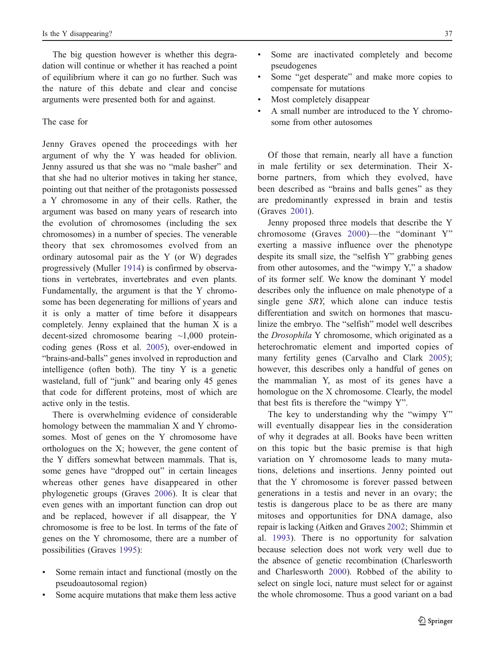The big question however is whether this degradation will continue or whether it has reached a point of equilibrium where it can go no further. Such was the nature of this debate and clear and concise arguments were presented both for and against.

#### The case for

Jenny Graves opened the proceedings with her argument of why the Y was headed for oblivion. Jenny assured us that she was no "male basher" and that she had no ulterior motives in taking her stance, pointing out that neither of the protagonists possessed a Y chromosome in any of their cells. Rather, the argument was based on many years of research into the evolution of chromosomes (including the sex chromosomes) in a number of species. The venerable theory that sex chromosomes evolved from an ordinary autosomal pair as the Y (or W) degrades progressively (Muller [1914\)](#page-9-0) is confirmed by observations in vertebrates, invertebrates and even plants. Fundamentally, the argument is that the Y chromosome has been degenerating for millions of years and it is only a matter of time before it disappears completely. Jenny explained that the human X is a decent-sized chromosome bearing ~1,000 proteincoding genes (Ross et al. [2005\)](#page-9-0), over-endowed in "brains-and-balls" genes involved in reproduction and intelligence (often both). The tiny Y is a genetic wasteland, full of "junk" and bearing only 45 genes that code for different proteins, most of which are active only in the testis.

There is overwhelming evidence of considerable homology between the mammalian X and Y chromosomes. Most of genes on the Y chromosome have orthologues on the X; however, the gene content of the Y differs somewhat between mammals. That is, some genes have "dropped out" in certain lineages whereas other genes have disappeared in other phylogenetic groups (Graves [2006\)](#page-9-0). It is clear that even genes with an important function can drop out and be replaced, however if all disappear, the Y chromosome is free to be lost. In terms of the fate of genes on the Y chromosome, there are a number of possibilities (Graves [1995\)](#page-8-0):

- Some remain intact and functional (mostly on the pseudoautosomal region)
- Some acquire mutations that make them less active
- & Some are inactivated completely and become pseudogenes
- Some "get desperate" and make more copies to compensate for mutations
- Most completely disappear
- & A small number are introduced to the Y chromosome from other autosomes

Of those that remain, nearly all have a function in male fertility or sex determination. Their Xborne partners, from which they evolved, have been described as "brains and balls genes" as they are predominantly expressed in brain and testis (Graves [2001](#page-8-0)).

Jenny proposed three models that describe the Y chromosome (Graves [2000](#page-8-0))—the "dominant Y" exerting a massive influence over the phenotype despite its small size, the "selfish Y" grabbing genes from other autosomes, and the "wimpy Y," a shadow of its former self. We know the dominant Y model describes only the influence on male phenotype of a single gene SRY, which alone can induce testis differentiation and switch on hormones that masculinize the embryo. The "selfish" model well describes the Drosophila Y chromosome, which originated as a heterochromatic element and imported copies of many fertility genes (Carvalho and Clark [2005](#page-8-0)); however, this describes only a handful of genes on the mammalian Y, as most of its genes have a homologue on the X chromosome. Clearly, the model that best fits is therefore the "wimpy Y".

The key to understanding why the "wimpy Y" will eventually disappear lies in the consideration of why it degrades at all. Books have been written on this topic but the basic premise is that high variation on Y chromosome leads to many mutations, deletions and insertions. Jenny pointed out that the Y chromosome is forever passed between generations in a testis and never in an ovary; the testis is dangerous place to be as there are many mitoses and opportunities for DNA damage, also repair is lacking (Aitken and Graves [2002;](#page-8-0) Shimmin et al. [1993](#page-9-0)). There is no opportunity for salvation because selection does not work very well due to the absence of genetic recombination (Charlesworth and Charlesworth [2000](#page-8-0)). Robbed of the ability to select on single loci, nature must select for or against the whole chromosome. Thus a good variant on a bad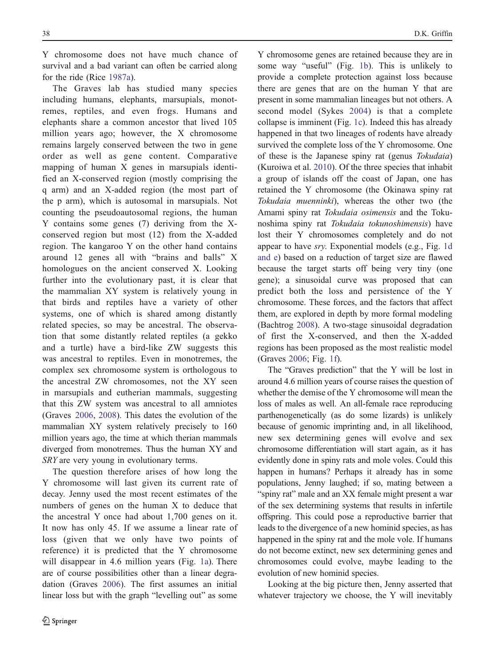Y chromosome does not have much chance of survival and a bad variant can often be carried along for the ride (Rice [1987a](#page-9-0)).

The Graves lab has studied many species including humans, elephants, marsupials, monotremes, reptiles, and even frogs. Humans and elephants share a common ancestor that lived 105 million years ago; however, the X chromosome remains largely conserved between the two in gene order as well as gene content. Comparative mapping of human X genes in marsupials identified an X-conserved region (mostly comprising the q arm) and an X-added region (the most part of the p arm), which is autosomal in marsupials. Not counting the pseudoautosomal regions, the human Y contains some genes (7) deriving from the Xconserved region but most (12) from the X-added region. The kangaroo Y on the other hand contains around 12 genes all with "brains and balls" X homologues on the ancient conserved X. Looking further into the evolutionary past, it is clear that the mammalian XY system is relatively young in that birds and reptiles have a variety of other systems, one of which is shared among distantly related species, so may be ancestral. The observation that some distantly related reptiles (a gekko and a turtle) have a bird-like ZW suggests this was ancestral to reptiles. Even in monotremes, the complex sex chromosome system is orthologous to the ancestral ZW chromosomes, not the XY seen in marsupials and eutherian mammals, suggesting that this ZW system was ancestral to all amniotes (Graves [2006](#page-9-0), [2008\)](#page-9-0). This dates the evolution of the mammalian XY system relatively precisely to 160 million years ago, the time at which therian mammals diverged from monotremes. Thus the human XY and SRY are very young in evolutionary terms.

The question therefore arises of how long the Y chromosome will last given its current rate of decay. Jenny used the most recent estimates of the numbers of genes on the human X to deduce that the ancestral Y once had about 1,700 genes on it. It now has only 45. If we assume a linear rate of loss (given that we only have two points of reference) it is predicted that the Y chromosome will disappear in 4.6 million years (Fig. 1a). There are of course possibilities other than a linear degradation (Graves [2006](#page-9-0)). The first assumes an initial linear loss but with the graph "levelling out" as some

Y chromosome genes are retained because they are in some way "useful" (Fig. 1b). This is unlikely to provide a complete protection against loss because there are genes that are on the human Y that are present in some mammalian lineages but not others. A second model (Sykes [2004\)](#page-9-0) is that a complete collapse is imminent (Fig. 1c). Indeed this has already happened in that two lineages of rodents have already survived the complete loss of the Y chromosome. One of these is the Japanese spiny rat (genus Tokudaia) (Kuroiwa et al. [2010\)](#page-9-0). Of the three species that inhabit a group of islands off the coast of Japan, one has retained the Y chromosome (the Okinawa spiny rat Tokudaia muenninki), whereas the other two (the Amami spiny rat Tokudaia osimensis and the Tokunoshima spiny rat Tokudaia tokunoshimensis) have lost their Y chromosomes completely and do not appear to have sry. Exponential models (e.g., Fig. 1d and e) based on a reduction of target size are flawed because the target starts off being very tiny (one gene); a sinusoidal curve was proposed that can predict both the loss and persistence of the Y chromosome. These forces, and the factors that affect them, are explored in depth by more formal modeling (Bachtrog [2008\)](#page-8-0). A two-stage sinusoidal degradation of first the X-conserved, and then the X-added regions has been proposed as the most realistic model (Graves [2006](#page-9-0); Fig. 1f).

The "Graves prediction" that the Y will be lost in around 4.6 million years of course raises the question of whether the demise of the Y chromosome will mean the loss of males as well. An all-female race reproducing parthenogenetically (as do some lizards) is unlikely because of genomic imprinting and, in all likelihood, new sex determining genes will evolve and sex chromosome differentiation will start again, as it has evidently done in spiny rats and mole voles. Could this happen in humans? Perhaps it already has in some populations, Jenny laughed; if so, mating between a "spiny rat" male and an XX female might present a war of the sex determining systems that results in infertile offspring. This could pose a reproductive barrier that leads to the divergence of a new hominid species, as has happened in the spiny rat and the mole vole. If humans do not become extinct, new sex determining genes and chromosomes could evolve, maybe leading to the evolution of new hominid species.

Looking at the big picture then, Jenny asserted that whatever trajectory we choose, the Y will inevitably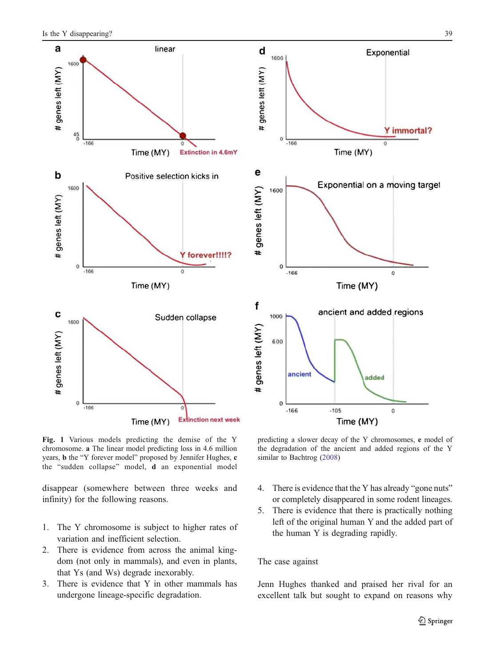



Fig. 1 Various models predicting the demise of the Y chromosome. a The linear model predicting loss in 4.6 million years, b the "Y forever model" proposed by Jennifer Hughes, c the "sudden collapse" model, d an exponential model

disappear (somewhere between three weeks and infinity) for the following reasons.

- 1. The Y chromosome is subject to higher rates of variation and inefficient selection.
- 2. There is evidence from across the animal kingdom (not only in mammals), and even in plants, that Ys (and Ws) degrade inexorably.
- 3. There is evidence that Y in other mammals has undergone lineage-specific degradation.

predicting a slower decay of the Y chromosomes, e model of the degradation of the ancient and added regions of the Y similar to Bachtrog [\(2008](#page-8-0))

- 4. There is evidence that the Y has already "gone nuts" or completely disappeared in some rodent lineages.
- 5. There is evidence that there is practically nothing left of the original human Y and the added part of the human Y is degrading rapidly.

The case against

Jenn Hughes thanked and praised her rival for an excellent talk but sought to expand on reasons why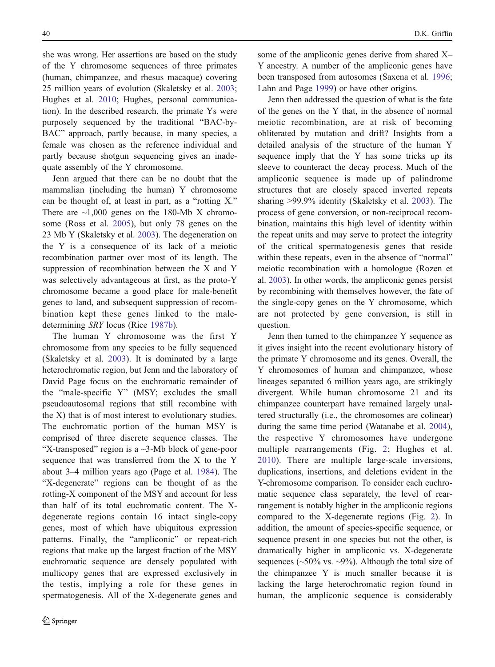she was wrong. Her assertions are based on the study of the Y chromosome sequences of three primates (human, chimpanzee, and rhesus macaque) covering 25 million years of evolution (Skaletsky et al. [2003](#page-9-0); Hughes et al. [2010;](#page-9-0) Hughes, personal communication). In the described research, the primate Ys were purposely sequenced by the traditional "BAC-by-BAC" approach, partly because, in many species, a female was chosen as the reference individual and partly because shotgun sequencing gives an inadequate assembly of the Y chromosome.

Jenn argued that there can be no doubt that the mammalian (including the human) Y chromosome can be thought of, at least in part, as a "rotting X." There are  $\sim$ 1,000 genes on the 180-Mb X chromosome (Ross et al. [2005\)](#page-9-0), but only 78 genes on the 23 Mb Y (Skaletsky et al. [2003](#page-9-0)). The degeneration on the Y is a consequence of its lack of a meiotic recombination partner over most of its length. The suppression of recombination between the X and Y was selectively advantageous at first, as the proto-Y chromosome became a good place for male-benefit genes to land, and subsequent suppression of recombination kept these genes linked to the maledetermining SRY locus (Rice [1987b](#page-9-0)).

The human Y chromosome was the first Y chromosome from any species to be fully sequenced (Skaletsky et al. [2003](#page-9-0)). It is dominated by a large heterochromatic region, but Jenn and the laboratory of David Page focus on the euchromatic remainder of the "male-specific Y" (MSY; excludes the small pseudoautosomal regions that still recombine with the X) that is of most interest to evolutionary studies. The euchromatic portion of the human MSY is comprised of three discrete sequence classes. The "X-transposed" region is a  $\sim$ 3-Mb block of gene-poor sequence that was transferred from the X to the Y about 3–4 million years ago (Page et al. [1984](#page-9-0)). The "X-degenerate" regions can be thought of as the rotting-X component of the MSY and account for less than half of its total euchromatic content. The Xdegenerate regions contain 16 intact single-copy genes, most of which have ubiquitous expression patterns. Finally, the "ampliconic" or repeat-rich regions that make up the largest fraction of the MSY euchromatic sequence are densely populated with multicopy genes that are expressed exclusively in the testis, implying a role for these genes in spermatogenesis. All of the X-degenerate genes and

some of the ampliconic genes derive from shared X– Y ancestry. A number of the ampliconic genes have been transposed from autosomes (Saxena et al. [1996;](#page-9-0) Lahn and Page [1999\)](#page-9-0) or have other origins.

Jenn then addressed the question of what is the fate of the genes on the Y that, in the absence of normal meiotic recombination, are at risk of becoming obliterated by mutation and drift? Insights from a detailed analysis of the structure of the human Y sequence imply that the Y has some tricks up its sleeve to counteract the decay process. Much of the ampliconic sequence is made up of palindrome structures that are closely spaced inverted repeats sharing >99.9% identity (Skaletsky et al. [2003\)](#page-9-0). The process of gene conversion, or non-reciprocal recombination, maintains this high level of identity within the repeat units and may serve to protect the integrity of the critical spermatogenesis genes that reside within these repeats, even in the absence of "normal" meiotic recombination with a homologue (Rozen et al. [2003](#page-9-0)). In other words, the ampliconic genes persist by recombining with themselves however, the fate of the single-copy genes on the Y chromosome, which are not protected by gene conversion, is still in question.

Jenn then turned to the chimpanzee Y sequence as it gives insight into the recent evolutionary history of the primate Y chromosome and its genes. Overall, the Y chromosomes of human and chimpanzee, whose lineages separated 6 million years ago, are strikingly divergent. While human chromosome 21 and its chimpanzee counterpart have remained largely unaltered structurally (i.e., the chromosomes are colinear) during the same time period (Watanabe et al. [2004\)](#page-10-0), the respective Y chromosomes have undergone multiple rearrangements (Fig. 2; Hughes et al. [2010](#page-9-0)). There are multiple large-scale inversions, duplications, insertions, and deletions evident in the Y-chromosome comparison. To consider each euchromatic sequence class separately, the level of rearrangement is notably higher in the ampliconic regions compared to the X-degenerate regions (Fig. 2). In addition, the amount of species-specific sequence, or sequence present in one species but not the other, is dramatically higher in ampliconic vs. X-degenerate sequences ( $\sim$ 50% vs.  $\sim$ 9%). Although the total size of the chimpanzee Y is much smaller because it is lacking the large heterochromatic region found in human, the ampliconic sequence is considerably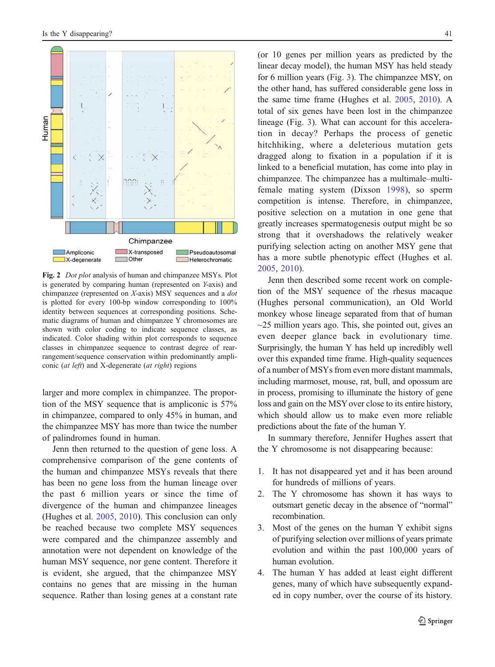

Fig. 2 Dot plot analysis of human and chimpanzee MSYs. Plot is generated by comparing human (represented on Y-axis) and chimpanzee (represented on X-axis) MSY sequences and a dot is plotted for every 100-bp window corresponding to 100% identity between sequences at corresponding positions. Schematic diagrams of human and chimpanzee Y chromosomes are shown with color coding to indicate sequence classes, as indicated. Color shading within plot corresponds to sequence classes in chimpanzee sequence to contrast degree of rearrangement/sequence conservation within predominantly ampliconic (at left) and X-degenerate (at right) regions

larger and more complex in chimpanzee. The proportion of the MSY sequence that is ampliconic is 57% in chimpanzee, compared to only 45% in human, and the chimpanzee MSY has more than twice the number of palindromes found in human.

Jenn then returned to the question of gene loss. A comprehensive comparison of the gene contents of the human and chimpanzee MSYs reveals that there has been no gene loss from the human lineage over the past 6 million years or since the time of divergence of the human and chimpanzee lineages (Hughes et al. [2005](#page-9-0), [2010\)](#page-9-0). This conclusion can only be reached because two complete MSY sequences were compared and the chimpanzee assembly and annotation were not dependent on knowledge of the human MSY sequence, nor gene content. Therefore it is evident, she argued, that the chimpanzee MSY contains no genes that are missing in the human sequence. Rather than losing genes at a constant rate

(or 10 genes per million years as predicted by the linear decay model), the human MSY has held steady for 6 million years (Fig. 3). The chimpanzee MSY, on the other hand, has suffered considerable gene loss in the same time frame (Hughes et al. [2005,](#page-9-0) [2010](#page-9-0)). A total of six genes have been lost in the chimpanzee lineage (Fig. 3). What can account for this acceleration in decay? Perhaps the process of genetic hitchhiking, where a deleterious mutation gets dragged along to fixation in a population if it is linked to a beneficial mutation, has come into play in chimpanzee. The chimpanzee has a multimale–multifemale mating system (Dixson [1998\)](#page-8-0), so sperm competition is intense. Therefore, in chimpanzee, positive selection on a mutation in one gene that greatly increases spermatogenesis output might be so strong that it overshadows the relatively weaker purifying selection acting on another MSY gene that has a more subtle phenotypic effect (Hughes et al. [2005,](#page-9-0) [2010\)](#page-9-0).

Jenn then described some recent work on completion of the MSY sequence of the rhesus macaque (Hughes personal communication), an Old World monkey whose lineage separated from that of human  $\sim$ 25 million years ago. This, she pointed out, gives an even deeper glance back in evolutionary time. Surprisingly, the human Y has held up incredibly well over this expanded time frame. High-quality sequences of a number of MSYs from even more distant mammals, including marmoset, mouse, rat, bull, and opossum are in process, promising to illuminate the history of gene loss and gain on the MSY over close to its entire history, which should allow us to make even more reliable predictions about the fate of the human Y.

In summary therefore, Jennifer Hughes assert that the Y chromosome is not disappearing because:

- 1. It has not disappeared yet and it has been around for hundreds of millions of years.
- 2. The Y chromosome has shown it has ways to outsmart genetic decay in the absence of "normal" recombination.
- 3. Most of the genes on the human Y exhibit signs of purifying selection over millions of years primate evolution and within the past 100,000 years of human evolution.
- 4. The human Y has added at least eight different genes, many of which have subsequently expanded in copy number, over the course of its history.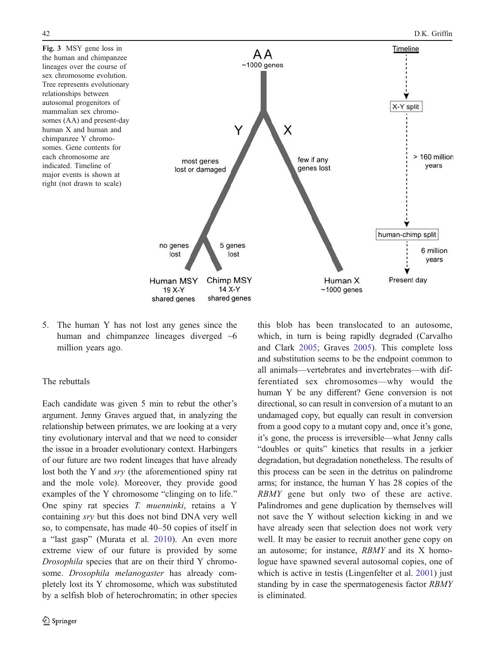Fig. 3 MSY gene loss in the human and chimpanzee lineages over the course of sex chromosome evolution. Tree represents evolutionary relationships between autosomal progenitors of mammalian sex chromosomes (AA) and present-day human X and human and chimpanzee Y chromosomes. Gene contents for each chromosome are indicated. Timeline of major events is shown at right (not drawn to scale)

<span id="page-8-0"></span>

5. The human Y has not lost any genes since the human and chimpanzee lineages diverged  $~6$ million years ago.

#### The rebuttals

Each candidate was given 5 min to rebut the other's argument. Jenny Graves argued that, in analyzing the relationship between primates, we are looking at a very tiny evolutionary interval and that we need to consider the issue in a broader evolutionary context. Harbingers of our future are two rodent lineages that have already lost both the Y and sry (the aforementioned spiny rat and the mole vole). Moreover, they provide good examples of the Y chromosome "clinging on to life." One spiny rat species T. muenninki, retains a Y containing sry but this does not bind DNA very well so, to compensate, has made 40–50 copies of itself in a "last gasp" (Murata et al. [2010](#page-9-0)). An even more extreme view of our future is provided by some Drosophila species that are on their third Y chromosome. Drosophila melanogaster has already completely lost its Y chromosome, which was substituted by a selfish blob of heterochromatin; in other species this blob has been translocated to an autosome, which, in turn is being rapidly degraded (Carvalho and Clark 2005; Graves 2005). This complete loss and substitution seems to be the endpoint common to all animals—vertebrates and invertebrates—with differentiated sex chromosomes—why would the human Y be any different? Gene conversion is not directional, so can result in conversion of a mutant to an undamaged copy, but equally can result in conversion from a good copy to a mutant copy and, once it's gone, it's gone, the process is irreversible—what Jenny calls "doubles or quits" kinetics that results in a jerkier degradation, but degradation nonetheless. The results of this process can be seen in the detritus on palindrome arms; for instance, the human Y has 28 copies of the RBMY gene but only two of these are active. Palindromes and gene duplication by themselves will not save the Y without selection kicking in and we have already seen that selection does not work very well. It may be easier to recruit another gene copy on an autosome; for instance, RBMY and its X homologue have spawned several autosomal copies, one of which is active in testis (Lingenfelter et al. [2001\)](#page-9-0) just standing by in case the spermatogenesis factor RBMY is eliminated.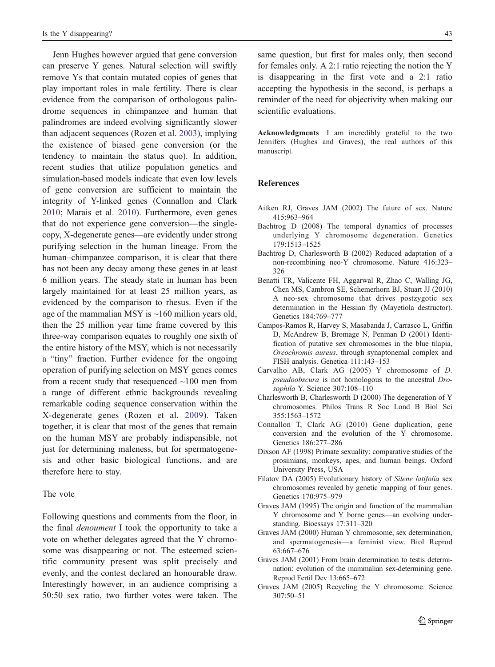<span id="page-9-0"></span>Jenn Hughes however argued that gene conversion can preserve Y genes. Natural selection will swiftly remove Ys that contain mutated copies of genes that play important roles in male fertility. There is clear evidence from the comparison of orthologous palindrome sequences in chimpanzee and human that palindromes are indeed evolving significantly slower than adjacent sequences (Rozen et al. 2003), implying the existence of biased gene conversion (or the tendency to maintain the status quo). In addition, recent studies that utilize population genetics and simulation-based models indicate that even low levels of gene conversion are sufficient to maintain the integrity of Y-linked genes (Connallon and Clark [2010;](#page-8-0) Marais et al. 2010). Furthermore, even genes that do not experience gene conversion—the singlecopy, X-degenerate genes—are evidently under strong purifying selection in the human lineage. From the human–chimpanzee comparison, it is clear that there has not been any decay among these genes in at least 6 million years. The steady state in human has been largely maintained for at least 25 million years, as evidenced by the comparison to rhesus. Even if the age of the mammalian MSY is  $\sim$ 160 million years old, then the 25 million year time frame covered by this three-way comparison equates to roughly one sixth of the entire history of the MSY, which is not necessarily a "tiny" fraction. Further evidence for the ongoing operation of purifying selection on MSY genes comes from a recent study that resequenced ~100 men from a range of different ethnic backgrounds revealing remarkable coding sequence conservation within the X-degenerate genes (Rozen et al. 2009). Taken together, it is clear that most of the genes that remain on the human MSY are probably indispensible, not just for determining maleness, but for spermatogenesis and other basic biological functions, and are therefore here to stay.

#### The vote

Following questions and comments from the floor, in the final denoument I took the opportunity to take a vote on whether delegates agreed that the Y chromosome was disappearing or not. The esteemed scientific community present was split precisely and evenly, and the contest declared an honourable draw. Interestingly however, in an audience comprising a 50:50 sex ratio, two further votes were taken. The

same question, but first for males only, then second for females only. A 2:1 ratio rejecting the notion the Y is disappearing in the first vote and a 2:1 ratio accepting the hypothesis in the second, is perhaps a reminder of the need for objectivity when making our scientific evaluations.

Acknowledgments I am incredibly grateful to the two Jennifers (Hughes and Graves), the real authors of this manuscript.

#### References

- Aitken RJ, Graves JAM (2002) The future of sex. Nature 415:963–964
- Bachtrog D (2008) The temporal dynamics of processes underlying Y chromosome degeneration. Genetics 179:1513–1525
- Bachtrog D, Charlesworth B (2002) Reduced adaptation of a non-recombining neo-Y chromosome. Nature 416:323– 326
- Benatti TR, Valicente FH, Aggarwal R, Zhao C, Walling JG, Chen MS, Cambron SE, Schemerhorn BJ, Stuart JJ (2010) A neo-sex chromosome that drives postzygotic sex determination in the Hessian fly (Mayetiola destructor). Genetics 184:769–777
- Campos-Ramos R, Harvey S, Masabanda J, Carrasco L, Griffin D, McAndrew B, Bromage N, Penman D (2001) Identification of putative sex chromosomes in the blue tilapia, Oreochromis aureus, through synaptonemal complex and FISH analysis. Genetica 111:143–153
- Carvalho AB, Clark AG (2005) Y chromosome of D. pseudoobscura is not homologous to the ancestral Drosophila Y. Science 307:108–110
- Charlesworth B, Charlesworth D (2000) The degeneration of Y chromosomes. Philos Trans R Soc Lond B Biol Sci 355:1563–1572
- Connallon T, Clark AG (2010) Gene duplication, gene conversion and the evolution of the Y chromosome. Genetics 186:277–286
- Dixson AF (1998) Primate sexuality: comparative studies of the prosimians, monkeys, apes, and human beings. Oxford University Press, USA
- Filatov DA (2005) Evolutionary history of Silene latifolia sex chromosomes revealed by genetic mapping of four genes. Genetics 170:975–979
- Graves JAM (1995) The origin and function of the mammalian Y chromosome and Y borne genes—an evolving understanding. Bioessays 17:311–320
- Graves JAM (2000) Human Y chromosome, sex determination, and spermatogenesis—a feminist view. Biol Reprod 63:667–676
- Graves JAM (2001) From brain determination to testis determination: evolution of the mammalian sex-determining gene. Reprod Fertil Dev 13:665–672
- Graves JAM (2005) Recycling the Y chromosome. Science 307:50–51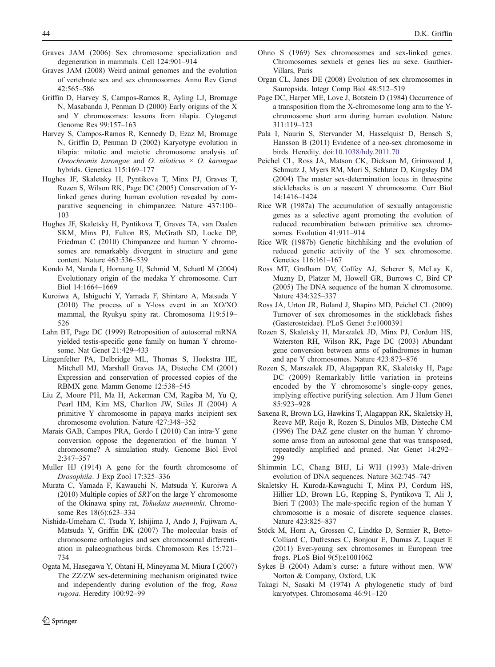- <span id="page-10-0"></span>Graves JAM (2006) Sex chromosome specialization and degeneration in mammals. Cell 124:901–914
- Graves JAM (2008) Weird animal genomes and the evolution of vertebrate sex and sex chromosomes. Annu Rev Genet 42:565–586
- Griffin D, Harvey S, Campos-Ramos R, Ayling LJ, Bromage N, Masabanda J, Penman D (2000) Early origins of the X and Y chromosomes: lessons from tilapia. Cytogenet Genome Res 99:157–163
- Harvey S, Campos-Ramos R, Kennedy D, Ezaz M, Bromage N, Griffin D, Penman D (2002) Karyotype evolution in tilapia: mitotic and meiotic chromosome analysis of Oreochromis karongae and O. niloticus  $\times$  O. karongae hybrids. Genetica 115:169–177
- Hughes JF, Skaletsky H, Pyntikova T, Minx PJ, Graves T, Rozen S, Wilson RK, Page DC (2005) Conservation of Ylinked genes during human evolution revealed by comparative sequencing in chimpanzee. Nature 437:100– 103
- Hughes JF, Skaletsky H, Pyntikova T, Graves TA, van Daalen SKM, Minx PJ, Fulton RS, McGrath SD, Locke DP, Friedman C (2010) Chimpanzee and human Y chromosomes are remarkably divergent in structure and gene content. Nature 463:536–539
- Kondo M, Nanda I, Hornung U, Schmid M, Schartl M (2004) Evolutionary origin of the medaka Y chromosome. Curr Biol 14:1664–1669
- Kuroiwa A, Ishiguchi Y, Yamada F, Shintaro A, Matsuda Y (2010) The process of a Y-loss event in an XO/XO mammal, the Ryukyu spiny rat. Chromosoma 119:519– 526
- Lahn BT, Page DC (1999) Retroposition of autosomal mRNA yielded testis-specific gene family on human Y chromosome. Nat Genet 21:429–433
- Lingenfelter PA, Delbridge ML, Thomas S, Hoekstra HE, Mitchell MJ, Marshall Graves JA, Disteche CM (2001) Expression and conservation of processed copies of the RBMX gene. Mamm Genome 12:538–545
- Liu Z, Moore PH, Ma H, Ackerman CM, Ragiba M, Yu Q, Pearl HM, Kim MS, Charlton JW, Stiles JI (2004) A primitive Y chromosome in papaya marks incipient sex chromosome evolution. Nature 427:348–352
- Marais GAB, Campos PRA, Gordo I (2010) Can intra-Y gene conversion oppose the degeneration of the human Y chromosome? A simulation study. Genome Biol Evol 2:347–357
- Muller HJ (1914) A gene for the fourth chromosome of Drosophila. J Exp Zool 17:325–336
- Murata C, Yamada F, Kawauchi N, Matsuda Y, Kuroiwa A (2010) Multiple copies of SRY on the large Y chromosome of the Okinawa spiny rat, Tokudaia muenninki. Chromosome Res 18(6):623–334
- Nishida-Umehara C, Tsuda Y, Ishijima J, Ando J, Fujiwara A, Matsuda Y, Griffin DK (2007) The molecular basis of chromosome orthologies and sex chromosomal differentiation in palaeognathous birds. Chromosom Res 15:721– 734
- Ogata M, Hasegawa Y, Ohtani H, Mineyama M, Miura I (2007) The ZZ/ZW sex-determining mechanism originated twice and independently during evolution of the frog, Rana rugosa. Heredity 100:92–99
- Ohno S (1969) Sex chromosomes and sex-linked genes. Chromosomes sexuels et genes lies au sexe. Gauthier-Villars, Paris
- Organ CL, Janes DE (2008) Evolution of sex chromosomes in Sauropsida. Integr Comp Biol 48:512–519
- Page DC, Harper ME, Love J, Botstein D (1984) Occurrence of a transposition from the X-chromosome long arm to the Ychromosome short arm during human evolution. Nature 311:119–123
- Pala I, Naurin S, Stervander M, Hasselquist D, Bensch S, Hansson B (2011) Evidence of a neo-sex chromosome in birds. Heredity. doi[:10.1038/hdy.2011.70](http://dx.doi.org/10.1038/hdy.2011.70)
- Peichel CL, Ross JA, Matson CK, Dickson M, Grimwood J, Schmutz J, Myers RM, Mori S, Schluter D, Kingsley DM (2004) The master sex-determination locus in threespine sticklebacks is on a nascent Y chromosome. Curr Biol 14:1416–1424
- Rice WR (1987a) The accumulation of sexually antagonistic genes as a selective agent promoting the evolution of reduced recombination between primitive sex chromosomes. Evolution 41:911–914
- Rice WR (1987b) Genetic hitchhiking and the evolution of reduced genetic activity of the Y sex chromosome. Genetics 116:161–167
- Ross MT, Grafham DV, Coffey AJ, Scherer S, McLay K, Muzny D, Platzer M, Howell GR, Burrows C, Bird CP (2005) The DNA sequence of the human X chromosome. Nature 434:325–337
- Ross JA, Urton JR, Boland J, Shapiro MD, Peichel CL (2009) Turnover of sex chromosomes in the stickleback fishes (Gasterosteidae). PLoS Genet 5:e1000391
- Rozen S, Skaletsky H, Marszalek JD, Minx PJ, Cordum HS, Waterston RH, Wilson RK, Page DC (2003) Abundant gene conversion between arms of palindromes in human and ape Y chromosomes. Nature 423:873–876
- Rozen S, Marszalek JD, Alagappan RK, Skaletsky H, Page DC (2009) Remarkably little variation in proteins encoded by the Y chromosome's single-copy genes, implying effective purifying selection. Am J Hum Genet 85:923–928
- Saxena R, Brown LG, Hawkins T, Alagappan RK, Skaletsky H, Reeve MP, Reijo R, Rozen S, Dinulos MB, Disteche CM (1996) The DAZ gene cluster on the human Y chromosome arose from an autosomal gene that was transposed, repeatedly amplified and pruned. Nat Genet 14:292– 299
- Shimmin LC, Chang BHJ, Li WH (1993) Male-driven evolution of DNA sequences. Nature 362:745–747
- Skaletsky H, Kuroda-Kawaguchi T, Minx PJ, Cordum HS, Hillier LD, Brown LG, Repping S, Pyntikova T, Ali J, Bieri T (2003) The male-specific region of the human Y chromosome is a mosaic of discrete sequence classes. Nature 423:825–837
- Stöck M, Horn A, Grossen C, Lindtke D, Sermier R, Betto-Colliard C, Dufresnes C, Bonjour E, Dumas Z, Luquet E (2011) Ever-young sex chromosomes in European tree frogs. PLoS Biol 9(5):e1001062
- Sykes B (2004) Adam's curse: a future without men. WW Norton & Company, Oxford, UK
- Takagi N, Sasaki M (1974) A phylogenetic study of bird karyotypes. Chromosoma 46:91–120